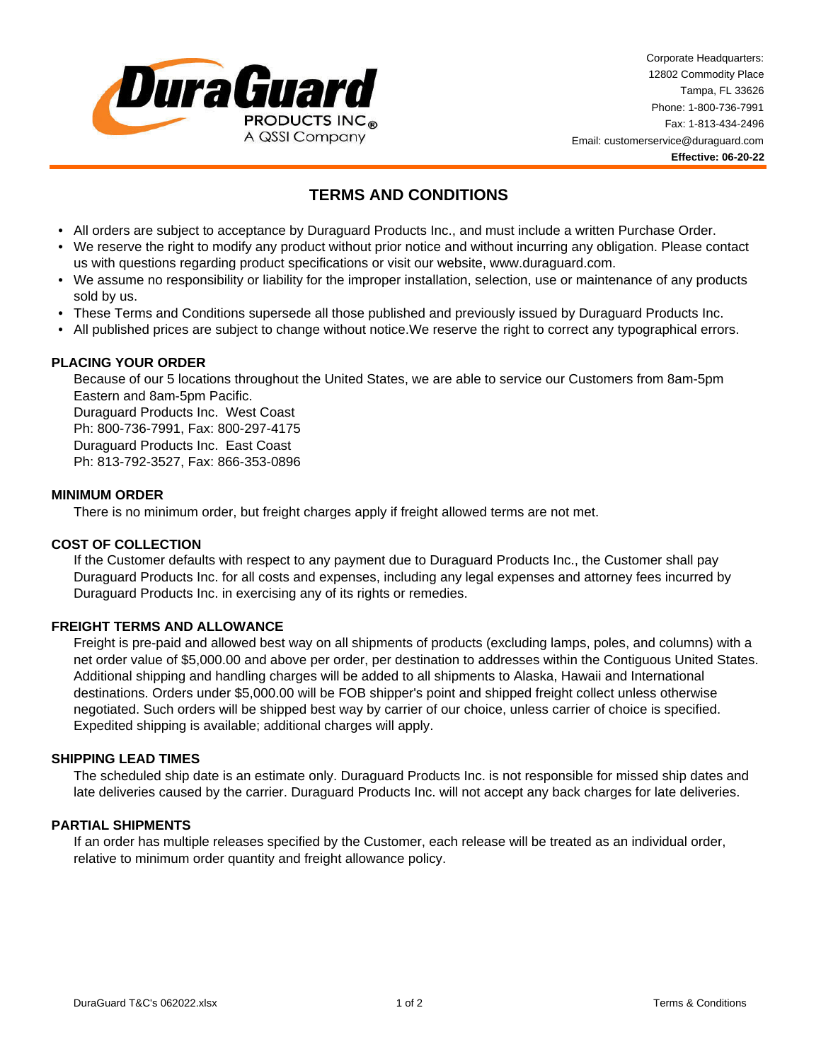

Corporate Headquarters: 12802 Commodity Place Tampa, FL 33626 Phone: 1-800-736-7991 Fax: 1-813-434-2496 Email: customerservice@duraguard.com **Effective: 06-20-22**

# **TERMS AND CONDITIONS**

- All orders are subject to acceptance by Duraguard Products Inc., and must include a written Purchase Order.
- We reserve the right to modify any product without prior notice and without incurring any obligation. Please contact us with questions regarding product specifications or visit our website, www.duraguard.com.
- We assume no responsibility or liability for the improper installation, selection, use or maintenance of any products sold by us.
- These Terms and Conditions supersede all those published and previously issued by Duraguard Products Inc.
- All published prices are subject to change without notice.We reserve the right to correct any typographical errors.

## **PLACING YOUR ORDER**

Because of our 5 locations throughout the United States, we are able to service our Customers from 8am-5pm Eastern and 8am-5pm Pacific.

Duraguard Products Inc. West Coast Ph: 800-736-7991, Fax: 800-297-4175 Duraguard Products Inc. East Coast Ph: 813-792-3527, Fax: 866-353-0896

## **MINIMUM ORDER**

There is no minimum order, but freight charges apply if freight allowed terms are not met.

## **COST OF COLLECTION**

If the Customer defaults with respect to any payment due to Duraguard Products Inc., the Customer shall pay Duraguard Products Inc. for all costs and expenses, including any legal expenses and attorney fees incurred by Duraguard Products Inc. in exercising any of its rights or remedies.

# **FREIGHT TERMS AND ALLOWANCE**

Freight is pre-paid and allowed best way on all shipments of products (excluding lamps, poles, and columns) with a net order value of \$5,000.00 and above per order, per destination to addresses within the Contiguous United States. Additional shipping and handling charges will be added to all shipments to Alaska, Hawaii and International destinations. Orders under \$5,000.00 will be FOB shipper's point and shipped freight collect unless otherwise negotiated. Such orders will be shipped best way by carrier of our choice, unless carrier of choice is specified. Expedited shipping is available; additional charges will apply.

## **SHIPPING LEAD TIMES**

The scheduled ship date is an estimate only. Duraguard Products Inc. is not responsible for missed ship dates and late deliveries caused by the carrier. Duraguard Products Inc. will not accept any back charges for late deliveries.

## **PARTIAL SHIPMENTS**

If an order has multiple releases specified by the Customer, each release will be treated as an individual order, relative to minimum order quantity and freight allowance policy.